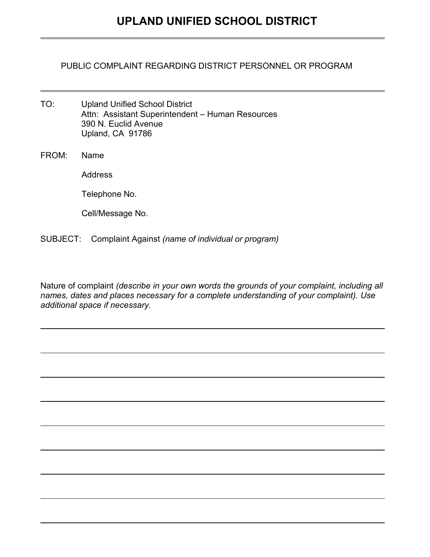PUBLIC COMPLAINT REGARDING DISTRICT PERSONNEL OR PROGRAM

- TO: Upland Unified School District Attn: Assistant Superintendent – Human Resources 390 N. Euclid Avenue Upland, CA 91786
- FROM: Name

Address

Telephone No.

Cell/Message No.

SUBJECT: Complaint Against *(name of individual or program)* 

Nature of complaint *(describe in your own words the grounds of your complaint, including all names, dates and places necessary for a complete understanding of your complaint). Use additional space if necessary.*